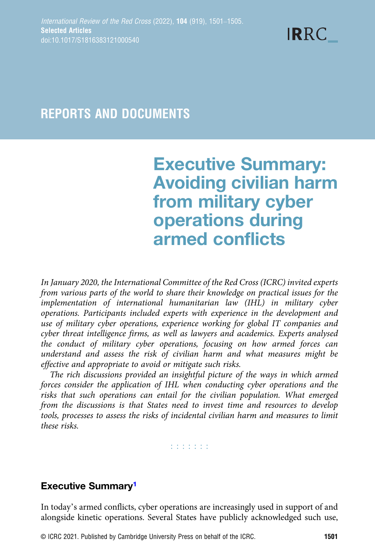$$
\text{IRRC}_{-}
$$

# REPORTS AND DOCUMENTS

# Executive Summary: Avoiding civilian harm from military cyber operations during armed conflicts

In January 2020, the International Committee of the Red Cross (ICRC) invited experts from various parts of the world to share their knowledge on practical issues for the implementation of international humanitarian law (IHL) in military cyber operations. Participants included experts with experience in the development and use of military cyber operations, experience working for global IT companies and cyber threat intelligence firms, as well as lawyers and academics. Experts analysed the conduct of military cyber operations, focusing on how armed forces can understand and assess the risk of civilian harm and what measures might be effective and appropriate to avoid or mitigate such risks.

The rich discussions provided an insightful picture of the ways in which armed forces consider the application of IHL when conducting cyber operations and the risks that such operations can entail for the civilian population. What emerged from the discussions is that States need to invest time and resources to develop tools, processes to assess the risks of incidental civilian harm and measures to limit these risks.

**Editoria** 

# Executive Summary<sup>[1](#page-1-0)</sup>

In today's armed conflicts, cyber operations are increasingly used in support of and alongside kinetic operations. Several States have publicly acknowledged such use,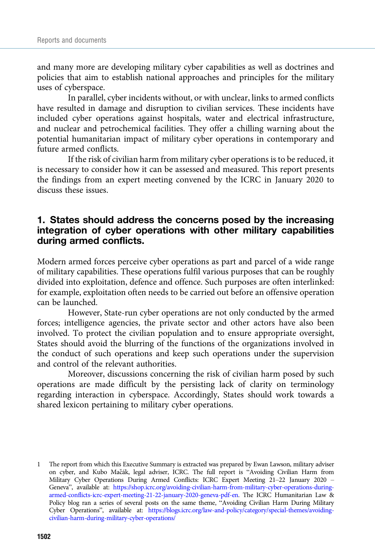<span id="page-1-0"></span>and many more are developing military cyber capabilities as well as doctrines and policies that aim to establish national approaches and principles for the military uses of cyberspace.

In parallel, cyber incidents without, or with unclear, links to armed conflicts have resulted in damage and disruption to civilian services. These incidents have included cyber operations against hospitals, water and electrical infrastructure, and nuclear and petrochemical facilities. They offer a chilling warning about the potential humanitarian impact of military cyber operations in contemporary and future armed conflicts.

If the risk of civilian harm from military cyber operations is to be reduced, it is necessary to consider how it can be assessed and measured. This report presents the findings from an expert meeting convened by the ICRC in January 2020 to discuss these issues.

#### 1. States should address the concerns posed by the increasing integration of cyber operations with other military capabilities during armed conflicts.

Modern armed forces perceive cyber operations as part and parcel of a wide range of military capabilities. These operations fulfil various purposes that can be roughly divided into exploitation, defence and offence. Such purposes are often interlinked: for example, exploitation often needs to be carried out before an offensive operation can be launched.

However, State-run cyber operations are not only conducted by the armed forces; intelligence agencies, the private sector and other actors have also been involved. To protect the civilian population and to ensure appropriate oversight, States should avoid the blurring of the functions of the organizations involved in the conduct of such operations and keep such operations under the supervision and control of the relevant authorities.

Moreover, discussions concerning the risk of civilian harm posed by such operations are made difficult by the persisting lack of clarity on terminology regarding interaction in cyberspace. Accordingly, States should work towards a shared lexicon pertaining to military cyber operations.

<sup>1</sup> The report from which this Executive Summary is extracted was prepared by Ewan Lawson, military adviser on cyber, and Kubo Macák, legal adviser, ICRC. The full report is ̌ "Avoiding Civilian Harm from Military Cyber Operations During Armed Conflicts: ICRC Expert Meeting 21–22 January 2020 – Geneva", available at: [https://shop.icrc.org/avoiding-civilian-harm-from-military-cyber-operations-during](https://shop.icrc.org/avoiding-civilian-harm-from-military-cyber-operations-during-armed-conflicts-icrc-expert-meeting-21-22-january-2020-geneva-pdf-en)[armed-conflicts-icrc-expert-meeting-21-22-january-2020-geneva-pdf-en](https://shop.icrc.org/avoiding-civilian-harm-from-military-cyber-operations-during-armed-conflicts-icrc-expert-meeting-21-22-january-2020-geneva-pdf-en). The ICRC Humanitarian Law & Policy blog ran a series of several posts on the same theme, "Avoiding Civilian Harm During Military Cyber Operations", available at: [https://blogs.icrc.org/law-and-policy/category/special-themes/avoiding](https://blogs.icrc.org/law-and-policy/category/special-themes/avoiding-civilian-harm-during-military-cyber-operations/)[civilian-harm-during-military-cyber-operations/](https://blogs.icrc.org/law-and-policy/category/special-themes/avoiding-civilian-harm-during-military-cyber-operations/)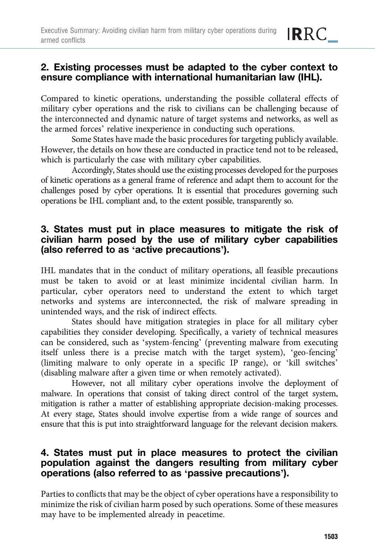# 2. Existing processes must be adapted to the cyber context to ensure compliance with international humanitarian law (IHL).

**IRRC** 

Compared to kinetic operations, understanding the possible collateral effects of military cyber operations and the risk to civilians can be challenging because of the interconnected and dynamic nature of target systems and networks, as well as the armed forces' relative inexperience in conducting such operations.

Some States have made the basic procedures for targeting publicly available. However, the details on how these are conducted in practice tend not to be released, which is particularly the case with military cyber capabilities.

Accordingly, States should use the existing processes developed for the purposes of kinetic operations as a general frame of reference and adapt them to account for the challenges posed by cyber operations. It is essential that procedures governing such operations be IHL compliant and, to the extent possible, transparently so.

# 3. States must put in place measures to mitigate the risk of civilian harm posed by the use of military cyber capabilities (also referred to as 'active precautions').

IHL mandates that in the conduct of military operations, all feasible precautions must be taken to avoid or at least minimize incidental civilian harm. In particular, cyber operators need to understand the extent to which target networks and systems are interconnected, the risk of malware spreading in unintended ways, and the risk of indirect effects.

States should have mitigation strategies in place for all military cyber capabilities they consider developing. Specifically, a variety of technical measures can be considered, such as 'system-fencing' (preventing malware from executing itself unless there is a precise match with the target system), 'geo-fencing' (limiting malware to only operate in a specific IP range), or 'kill switches' (disabling malware after a given time or when remotely activated).

However, not all military cyber operations involve the deployment of malware. In operations that consist of taking direct control of the target system, mitigation is rather a matter of establishing appropriate decision-making processes. At every stage, States should involve expertise from a wide range of sources and ensure that this is put into straightforward language for the relevant decision makers.

### 4. States must put in place measures to protect the civilian population against the dangers resulting from military cyber operations (also referred to as 'passive precautions').

Parties to conflicts that may be the object of cyber operations have a responsibility to minimize the risk of civilian harm posed by such operations. Some of these measures may have to be implemented already in peacetime.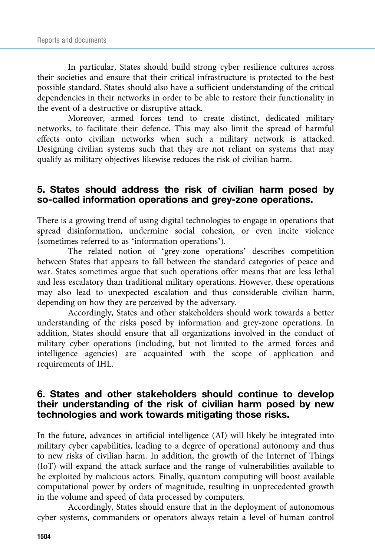In particular, States should build strong cyber resilience cultures across their societies and ensure that their critical infrastructure is protected to the best possible standard. States should also have a sufficient understanding of the critical dependencies in their networks in order to be able to restore their functionality in the event of a destructive or disruptive attack.

Moreover, armed forces tend to create distinct, dedicated military networks, to facilitate their defence. This may also limit the spread of harmful effects onto civilian networks when such a military network is attacked. Designing civilian systems such that they are not reliant on systems that may qualify as military objectives likewise reduces the risk of civilian harm.

#### 5. States should address the risk of civilian harm posed by so-called information operations and grey-zone operations.

There is a growing trend of using digital technologies to engage in operations that spread disinformation, undermine social cohesion, or even incite violence (sometimes referred to as 'information operations').

The related notion of 'grey-zone operations' describes competition between States that appears to fall between the standard categories of peace and war. States sometimes argue that such operations offer means that are less lethal and less escalatory than traditional military operations. However, these operations may also lead to unexpected escalation and thus considerable civilian harm, depending on how they are perceived by the adversary.

Accordingly, States and other stakeholders should work towards a better understanding of the risks posed by information and grey-zone operations. In addition, States should ensure that all organizations involved in the conduct of military cyber operations (including, but not limited to the armed forces and intelligence agencies) are acquainted with the scope of application and requirements of IHL.

#### 6. States and other stakeholders should continue to develop their understanding of the risk of civilian harm posed by new technologies and work towards mitigating those risks.

In the future, advances in artificial intelligence (AI) will likely be integrated into military cyber capabilities, leading to a degree of operational autonomy and thus to new risks of civilian harm. In addition, the growth of the Internet of Things (IoT) will expand the attack surface and the range of vulnerabilities available to be exploited by malicious actors. Finally, quantum computing will boost available computational power by orders of magnitude, resulting in unprecedented growth in the volume and speed of data processed by computers.

Accordingly, States should ensure that in the deployment of autonomous cyber systems, commanders or operators always retain a level of human control